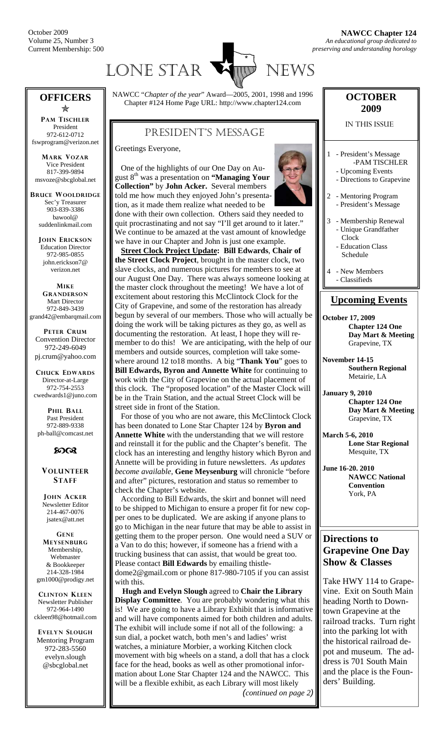

#### **OFFICERS**   $\ast$

**PAM TISCHLER** President 972-612-0712 fswprogram@verizon.net

**MARK VOZAR** Vice President 817-399-9894 msvoze@sbcglobal.net

**BRUCE WOOLDRIDGE** Sec'y Treasurer 903-839-3386 bawool@ suddenlinkmail.com

> **JOHN ERICKSON** Education Director 972-985-0855 john.erickson7@ verizon.net

**MIKE GRANDERSON** Mart Director 972-849-3439 grand42@embarqmail.com

**PETER CRUM** Convention Director 972-249-6049 pj.crum@yahoo.com

**CHUCK EDWARDS** Director-at-Large 972-754-2553 cwedwards1@juno.com

**PHIL BALL** Past President 972-889-9338 ph-ball@comcast.net



**VOLUNTEER STAFF**

**JOHN ACKER** Newsletter Editor 214-467-0076 jsatex@att.net

**GENE MEYSENBURG** Membership, Webmaster & Bookkeeper 214-328-1984 gm1000@prodigy.net

**CLINTON KLEEN** Newsletter Publisher 972-964-1490 ckleen98@hotmail.com

**EVELYN SLOUGH** Mentoring Program 972-283-5560 evelyn.slough @sbcglobal.net

NAWCC "*Chapter of the year*" Award—2005, 2001, 1998 and 1996 Chapter #124 Home Page URL: http://www.chapter124.com

## PRESIDENT'S MESSAGE

Greetings Everyone,

 One of the highlights of our One Day on August 8th was a presentation on **"Managing Your Collection"** by **John Acker.** Several members told me how much they enjoyed John's presentation, as it made them realize what needed to be



done with their own collection. Others said they needed to quit procrastinating and not say "I'll get around to it later." We continue to be amazed at the vast amount of knowledge we have in our Chapter and John is just one example.

 **Street Clock Project Update: Bill Edwards**, **Chair of the Street Clock Project**, brought in the master clock, two slave clocks, and numerous pictures for members to see at our August One Day. There was always someone looking at the master clock throughout the meeting! We have a lot of excitement about restoring this McClintock Clock for the City of Grapevine, and some of the restoration has already begun by several of our members. Those who will actually be doing the work will be taking pictures as they go, as well as documenting the restoration. At least, I hope they will remember to do this! We are anticipating, with the help of our members and outside sources, completion will take somewhere around 12 to18 months. A big "**Thank You**" goes to **Bill Edwards, Byron and Annette White** for continuing to work with the City of Grapevine on the actual placement of this clock. The "proposed location" of the Master Clock will be in the Train Station, and the actual Street Clock will be street side in front of the Station.

 For those of you who are not aware, this McClintock Clock has been donated to Lone Star Chapter 124 by **Byron and Annette White** with the understanding that we will restore and reinstall it for the public and the Chapter's benefit. The clock has an interesting and lengthy history which Byron and Annette will be providing in future newsletters. *As updates become available*, **Gene Meysenburg** will chronicle "before and after" pictures, restoration and status so remember to check the Chapter's website.

 According to Bill Edwards, the skirt and bonnet will need to be shipped to Michigan to ensure a proper fit for new copper ones to be duplicated. We are asking if anyone plans to go to Michigan in the near future that may be able to assist in getting them to the proper person. One would need a SUV or a Van to do this; however, if someone has a friend with a trucking business that can assist, that would be great too. Please contact **Bill Edwards** by emailing thistledome2@gmail.com or phone 817-980-7105 if you can assist with this.

 **Hugh and Evelyn Slough** agreed to **Chair the Library Display Committee**. You are probably wondering what this is! We are going to have a Library Exhibit that is informative and will have components aimed for both children and adults. The exhibit will include some if not all of the following: a sun dial, a pocket watch, both men's and ladies' wrist watches, a miniature Morbier, a working Kitchen clock movement with big wheels on a stand, a doll that has a clock face for the head, books as well as other promotional information about Lone Star Chapter 124 and the NAWCC. This will be a flexible exhibit, as each Library will most likely

*(continued on page 2)* 

### **OCTOBER 2009**

IN THIS ISSUE

- 1 President's Message -PAM TISCHLER
	- Upcoming Events - Directions to Grapevine
- 2 Mentoring Program
- President's Message 3 - Membership Renewal
- Unique Grandfather Clock
	- Education Class Schedule
	- New Members
- Classifieds

### **Upcoming Events**

**October 17, 2009 Chapter 124 One Day Mart & Meeting**  Grapevine, TX

**November 14-15 Southern Regional**  Metairie, LA

**January 9, 2010 Chapter 124 One Day Mart & Meeting**  Grapevine, TX

**March 5-6, 2010 Lone Star Regional**  Mesquite, TX

**June 16-20. 2010 NAWCC National Convention**  York, PA

### **Directions to Grapevine One Day Show & Classes**

Take HWY 114 to Grapevine. Exit on South Main heading North to Downtown Grapevine at the railroad tracks. Turn right into the parking lot with the historical railroad depot and museum. The address is 701 South Main and the place is the Founders' Building.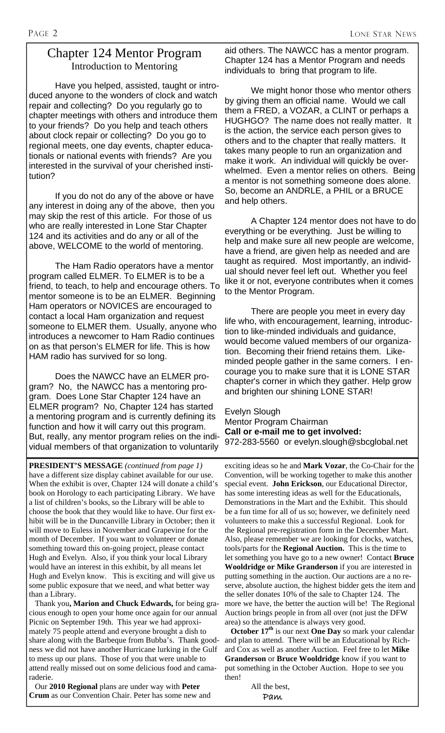## Chapter 124 Mentor Program Introduction to Mentoring

Have you helped, assisted, taught or introduced anyone to the wonders of clock and watch repair and collecting? Do you regularly go to chapter meetings with others and introduce them to your friends? Do you help and teach others about clock repair or collecting? Do you go to regional meets, one day events, chapter educationals or national events with friends? Are you interested in the survival of your cherished institution?

 If you do not do any of the above or have any interest in doing any of the above, then you may skip the rest of this article. For those of us who are really interested in Lone Star Chapter 124 and its activities and do any or all of the above, WELCOME to the world of mentoring.

 The Ham Radio operators have a mentor program called ELMER. To ELMER is to be a friend, to teach, to help and encourage others. To mentor someone is to be an ELMER. Beginning Ham operators or NOVICES are encouraged to contact a local Ham organization and request someone to ELMER them. Usually, anyone who introduces a newcomer to Ham Radio continues on as that person's ELMER for life. This is how HAM radio has survived for so long.

 Does the NAWCC have an ELMER program? No, the NAWCC has a mentoring program. Does Lone Star Chapter 124 have an ELMER program? No, Chapter 124 has started a mentoring program and is currently defining its function and how it will carry out this program. But, really, any mentor program relies on the individual members of that organization to voluntarily

aid others. The NAWCC has a mentor program. Chapter 124 has a Mentor Program and needs individuals to bring that program to life.

 We might honor those who mentor others by giving them an official name. Would we call them a FRED, a VOZAR, a CLINT or perhaps a HUGHGO? The name does not really matter. It is the action, the service each person gives to others and to the chapter that really matters. It takes many people to run an organization and make it work. An individual will quickly be overwhelmed. Even a mentor relies on others. Being a mentor is not something someone does alone. So, become an ANDRLE, a PHIL or a BRUCE and help others.

 A Chapter 124 mentor does not have to do everything or be everything. Just be willing to help and make sure all new people are welcome, have a friend, are given help as needed and are taught as required. Most importantly, an individual should never feel left out. Whether you feel like it or not, everyone contributes when it comes to the Mentor Program.

 There are people you meet in every day life who, with encouragement, learning, introduction to like-minded individuals and guidance, would become valued members of our organization. Becoming their friend retains them. Likeminded people gather in the same corners. I encourage you to make sure that it is LONE STAR chapter's corner in which they gather. Help grow and brighten our shining LONE STAR!

Evelyn Slough Mentor Program Chairman **Call or e-mail me to get involved:**  972-283-5560 or evelyn.slough@sbcglobal.net

**PRESIDENT'S MESSAGE** *(continued from page 1)* have a different size display cabinet available for our use. When the exhibit is over, Chapter 124 will donate a child's book on Horology to each participating Library. We have a list of children's books, so the Library will be able to choose the book that they would like to have. Our first exhibit will be in the Duncanville Library in October; then it will move to Euless in November and Grapevine for the month of December. If you want to volunteer or donate something toward this on-going project, please contact Hugh and Evelyn. Also, if you think your local Library would have an interest in this exhibit, by all means let Hugh and Evelyn know. This is exciting and will give us some public exposure that we need, and what better way than a Library.

 Thank you**, Marion and Chuck Edwards,** for being gracious enough to open your home once again for our annual Picnic on September 19th. This year we had approximately 75 people attend and everyone brought a dish to share along with the Barbeque from Bubba's. Thank goodness we did not have another Hurricane lurking in the Gulf to mess up our plans. Those of you that were unable to attend really missed out on some delicious food and camaraderie.

 Our **2010 Regional** plans are under way with **Peter Crum** as our Convention Chair. Peter has some new and exciting ideas so he and **Mark Vozar**, the Co-Chair for the Convention, will be working together to make this another special event. **John Erickson**, our Educational Director, has some interesting ideas as well for the Educationals, Demonstrations in the Mart and the Exhibit. This should be a fun time for all of us so; however, we definitely need volunteers to make this a successful Regional. Look for the Regional pre-registration form in the December Mart. Also, please remember we are looking for clocks, watches, tools/parts for the **Regional Auction.** This is the time to let something you have go to a new owner! Contact **Bruce Wooldridge or Mike Granderson** if you are interested in putting something in the auction. Our auctions are a no reserve, absolute auction, the highest bidder gets the item and the seller donates 10% of the sale to Chapter 124. The more we have, the better the auction will be! The Regional Auction brings people in from all over (not just the DFW area) so the attendance is always very good.

 **October 17th** is our next **One Day** so mark your calendar and plan to attend. There will be an Educational by Richard Cox as well as another Auction. Feel free to let **Mike Granderson** or **Bruce Wooldridge** know if you want to put something in the October Auction. Hope to see you then!

> All the best, Pam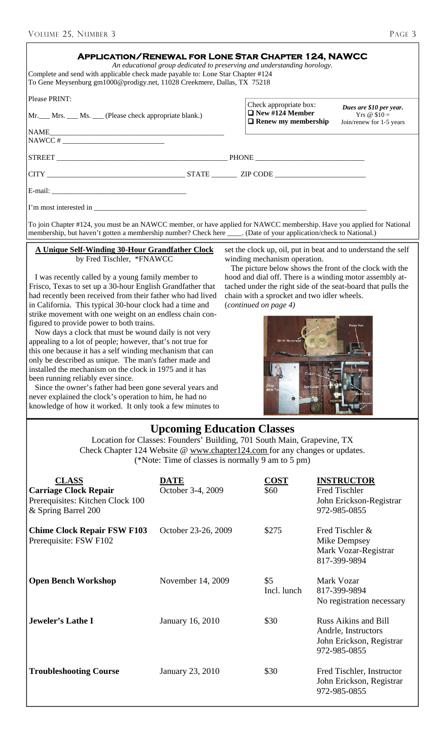| ٠ |  |
|---|--|

| VOLUME 25, NUMBER 3                                                                                                                                                                                                                                                                                    |                                                                                                             |                                                               |                                                                                                                            | PAGE 3 |  |  |
|--------------------------------------------------------------------------------------------------------------------------------------------------------------------------------------------------------------------------------------------------------------------------------------------------------|-------------------------------------------------------------------------------------------------------------|---------------------------------------------------------------|----------------------------------------------------------------------------------------------------------------------------|--------|--|--|
| <b>APPLICATION/RENEWAL FOR LONE STAR CHAPTER 124, NAWCC</b><br>An educational group dedicated to preserving and understanding horology.<br>Complete and send with applicable check made payable to: Lone Star Chapter #124<br>To Gene Meysenburg gm1000@prodigy.net, 11028 Creekmere, Dallas, TX 75218 |                                                                                                             |                                                               |                                                                                                                            |        |  |  |
| Please PRINT:                                                                                                                                                                                                                                                                                          |                                                                                                             | Check appropriate box:                                        |                                                                                                                            |        |  |  |
| Mr. Mrs. Ms. Ms. Please check appropriate blank.)                                                                                                                                                                                                                                                      |                                                                                                             |                                                               | Dues are \$10 per year.<br>$\Box$ New #124 Member<br>Yrs $@$10=$<br>$\Box$ Renew my membership<br>Join/renew for 1-5 years |        |  |  |
| NAME<br><u> 2000 - Jan James James James James James James James James James James James James James James James James J</u>                                                                                                                                                                           |                                                                                                             |                                                               |                                                                                                                            |        |  |  |
|                                                                                                                                                                                                                                                                                                        |                                                                                                             |                                                               |                                                                                                                            |        |  |  |
|                                                                                                                                                                                                                                                                                                        |                                                                                                             |                                                               |                                                                                                                            |        |  |  |
|                                                                                                                                                                                                                                                                                                        |                                                                                                             |                                                               |                                                                                                                            |        |  |  |
| I'm most interested in                                                                                                                                                                                                                                                                                 |                                                                                                             |                                                               |                                                                                                                            |        |  |  |
| To join Chapter #124, you must be an NAWCC member, or have applied for NAWCC membership. Have you applied for National<br>membership, but haven't gotten a membership number? Check here ____. (Date of your application/check to National.)                                                           |                                                                                                             |                                                               |                                                                                                                            |        |  |  |
| A Unique Self-Winding 30-Hour Grandfather Clock                                                                                                                                                                                                                                                        |                                                                                                             | set the clock up, oil, put in beat and to understand the self |                                                                                                                            |        |  |  |
| by Fred Tischler, *FNAWCC<br>winding mechanism operation.<br>The picture below shows the front of the clock with the                                                                                                                                                                                   |                                                                                                             |                                                               |                                                                                                                            |        |  |  |
| I was recently called by a young family member to<br>Frisco, Texas to set up a 30-hour English Grandfather that                                                                                                                                                                                        | hood and dial off. There is a winding motor assembly at-                                                    |                                                               |                                                                                                                            |        |  |  |
| had recently been received from their father who had lived                                                                                                                                                                                                                                             | tached under the right side of the seat-board that pulls the<br>chain with a sprocket and two idler wheels. |                                                               |                                                                                                                            |        |  |  |
| in California. This typical 30-hour clock had a time and<br>(continued on page 4)<br>strike movement with one weight on an endless chain con-                                                                                                                                                          |                                                                                                             |                                                               |                                                                                                                            |        |  |  |
| figured to provide power to both trains.<br>Relay Box                                                                                                                                                                                                                                                  |                                                                                                             |                                                               |                                                                                                                            |        |  |  |
| Now days a clock that must be wound daily is not very<br>30-Hr Movement<br>$\sim$<br>appealing to a lot of people; however, that's not true for                                                                                                                                                        |                                                                                                             |                                                               |                                                                                                                            |        |  |  |
| this one because it has a self winding mechanism that can<br>only be described as unique. The man's father made and                                                                                                                                                                                    |                                                                                                             |                                                               |                                                                                                                            |        |  |  |
| installed the mechanism on the clock in 1975 and it has                                                                                                                                                                                                                                                |                                                                                                             |                                                               |                                                                                                                            |        |  |  |
| been running reliably ever since.<br>Since the owner's father had been gone several years and                                                                                                                                                                                                          |                                                                                                             |                                                               |                                                                                                                            |        |  |  |
| never explained the clock's operation to him, he had no<br>knowledge of how it worked. It only took a few minutes to                                                                                                                                                                                   |                                                                                                             |                                                               |                                                                                                                            |        |  |  |
|                                                                                                                                                                                                                                                                                                        |                                                                                                             |                                                               |                                                                                                                            |        |  |  |
|                                                                                                                                                                                                                                                                                                        |                                                                                                             | <b>Upcoming Education Classes</b>                             |                                                                                                                            |        |  |  |
| Location for Classes: Founders' Building, 701 South Main, Grapevine, TX<br>Check Chapter 124 Website @ www.chapter124.com for any changes or updates.                                                                                                                                                  |                                                                                                             |                                                               |                                                                                                                            |        |  |  |
| (*Note: Time of classes is normally 9 am to 5 pm)                                                                                                                                                                                                                                                      |                                                                                                             |                                                               |                                                                                                                            |        |  |  |
| <b>CLASS</b>                                                                                                                                                                                                                                                                                           | <b>DATE</b>                                                                                                 | <b>COST</b>                                                   | <b>INSTRUCTOR</b>                                                                                                          |        |  |  |
| <b>Carriage Clock Repair</b><br>Prerequisites: Kitchen Clock 100                                                                                                                                                                                                                                       | October 3-4, 2009                                                                                           | \$60                                                          | Fred Tischler<br>John Erickson-Registrar                                                                                   |        |  |  |
| & Spring Barrel 200                                                                                                                                                                                                                                                                                    |                                                                                                             |                                                               | 972-985-0855                                                                                                               |        |  |  |
| <b>Chime Clock Repair FSW F103</b>                                                                                                                                                                                                                                                                     | October 23-26, 2009                                                                                         | \$275                                                         | Fred Tischler &                                                                                                            |        |  |  |
| Prerequisite: FSW F102                                                                                                                                                                                                                                                                                 |                                                                                                             |                                                               | <b>Mike Dempsey</b>                                                                                                        |        |  |  |
|                                                                                                                                                                                                                                                                                                        |                                                                                                             |                                                               | Mark Vozar-Registrar<br>817-399-9894                                                                                       |        |  |  |
|                                                                                                                                                                                                                                                                                                        |                                                                                                             |                                                               |                                                                                                                            |        |  |  |
| <b>Open Bench Workshop</b>                                                                                                                                                                                                                                                                             | November 14, 2009                                                                                           | \$5<br>Incl. lunch                                            | Mark Vozar<br>817-399-9894                                                                                                 |        |  |  |
|                                                                                                                                                                                                                                                                                                        |                                                                                                             |                                                               | No registration necessary                                                                                                  |        |  |  |
| Jeweler's Lathe I                                                                                                                                                                                                                                                                                      | January 16, 2010                                                                                            | \$30                                                          | <b>Russ Aikins and Bill</b>                                                                                                |        |  |  |
|                                                                                                                                                                                                                                                                                                        |                                                                                                             |                                                               | Andrle, Instructors                                                                                                        |        |  |  |
|                                                                                                                                                                                                                                                                                                        |                                                                                                             |                                                               | John Erickson, Registrar<br>972-985-0855                                                                                   |        |  |  |
|                                                                                                                                                                                                                                                                                                        |                                                                                                             |                                                               |                                                                                                                            |        |  |  |
| <b>Troubleshooting Course</b>                                                                                                                                                                                                                                                                          | January 23, 2010                                                                                            | \$30                                                          | Fred Tischler, Instructor                                                                                                  |        |  |  |

John Erickson, Registrar

972-985-0855